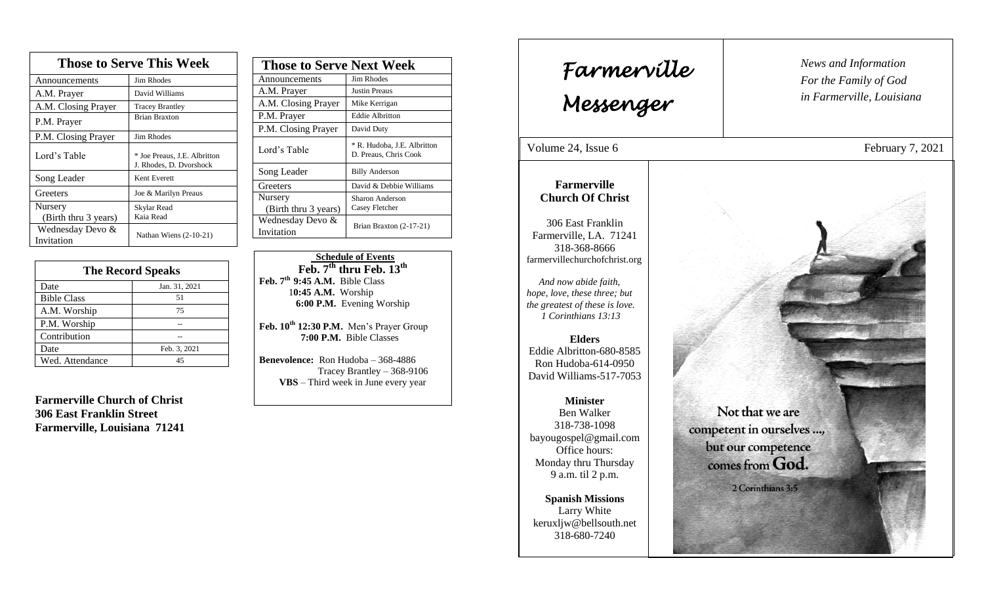| <b>Those to Serve This Week</b> |                                                         |  |
|---------------------------------|---------------------------------------------------------|--|
| Announcements                   | <b>Jim Rhodes</b>                                       |  |
| A.M. Prayer                     | David Williams                                          |  |
| A.M. Closing Prayer             | <b>Tracey Brantley</b>                                  |  |
| P.M. Prayer                     | <b>Brian Braxton</b>                                    |  |
| P.M. Closing Prayer             | <b>Jim Rhodes</b>                                       |  |
| Lord's Table                    | * Joe Preaus, J.E. Albritton<br>J. Rhodes, D. Dvorshock |  |
| Song Leader                     | Kent Everett                                            |  |
| Greeters                        | Joe & Marilyn Preaus                                    |  |
| Nursery                         | Skylar Read                                             |  |
| (Birth thru 3 years)            | Kaia Read                                               |  |
| Wednesday Devo &<br>Invitation  | Nathan Wiens $(2-10-21)$                                |  |

| <b>The Record Speaks</b> |               |
|--------------------------|---------------|
| Date                     | Jan. 31, 2021 |
| <b>Bible Class</b>       | 51            |
| A.M. Worship             | 75            |
| P.M. Worship             |               |
| Contribution             |               |
| Date                     | Feb. 3, 2021  |
| Wed. Attendance          | 45            |

**Farmerville Church of Christ 306 East Franklin Street Farmerville, Louisiana 71241**

| <b>Those to Serve Next Week</b> |                                                      |
|---------------------------------|------------------------------------------------------|
| Announcements                   | Jim Rhodes                                           |
| A.M. Prayer                     | Justin Preaus                                        |
| A.M. Closing Prayer             | Mike Kerrigan                                        |
| P.M. Prayer                     | <b>Eddie Albritton</b>                               |
| P.M. Closing Prayer             | David Duty                                           |
| Lord's Table                    | * R. Hudoba, J.E. Albritton<br>D. Preaus, Chris Cook |
| Song Leader                     | <b>Billy Anderson</b>                                |
| Greeters                        | David & Debbie Williams                              |
| Nursery<br>(Birth thru 3 years) | Sharon Anderson<br>Casey Fletcher                    |
| Wednesday Devo &<br>Invitation  | Brian Braxton (2-17-21)                              |

 **Schedule of Events Feb. 7th thru Feb. 13th Feb. 7th 9:45 A.M.** Bible Class 1**0:45 A.M.** Worship  **6:00 P.M.** Evening Worship

**Feb. 10th 12:30 P.M.** Men's Prayer Group **7:00 P.M.** Bible Classes

**Benevolence:** Ron Hudoba – 368-4886 Tracey Brantley – 368-9106 **VBS** – Third week in June every year

*News and Information* **Farmerville**  $\begin{bmatrix} \text{News an} \\ \text{For the} \end{bmatrix}$ *For the Family of God in Farmerville, Louisiana Messenger*  Volume 24, Issue 6 February 7, 2021 , 2015 **Farmerville Church Of Christ** 306 East Franklin Farmerville, LA. 71241 318-368-8666 farmervillechurchofchrist.org *And now abide faith, hope, love, these three; but the greatest of these is love. 1 Corinthians 13:13* **Elders** Eddie Albritton-680-8585 Ron Hudoba-614-0950 David Williams-517-7053 **Minister** Not that we are Ben Walker 318-738-1098 competent in ourselves ..., bayougospel@gmail.com but our competence Office hours: comes from God. Monday thru Thursday 9 a.m. til 2 p.m. 2 Corinthians 3:5 **Spanish Missions** Larry White keruxljw@bellsouth.net 318-680-7240